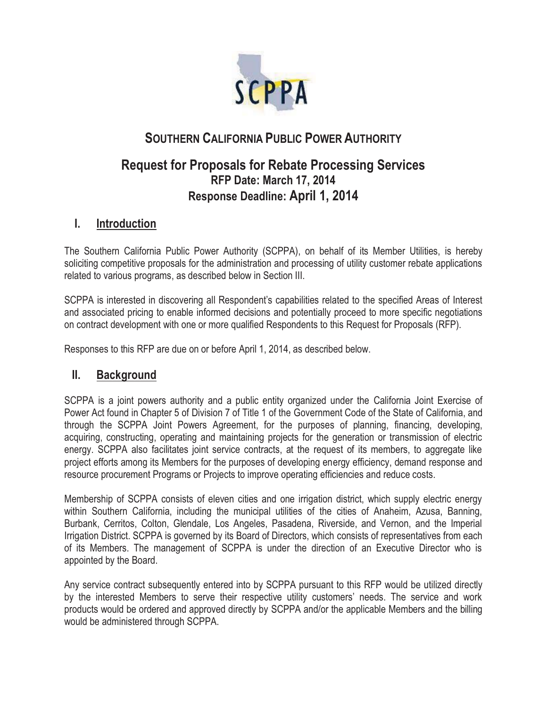

## **SOUTHERN CALIFORNIA PUBLIC POWER AUTHORITY**

## **Request for Proposals for Rebate Processing Services RFP Date: March 17, 2014 Response Deadline: April 1, 2014**

### **I. Introduction**

The Southern California Public Power Authority (SCPPA), on behalf of its Member Utilities, is hereby soliciting competitive proposals for the administration and processing of utility customer rebate applications related to various programs, as described below in Section III.

SCPPA is interested in discovering all Respondent's capabilities related to the specified Areas of Interest and associated pricing to enable informed decisions and potentially proceed to more specific negotiations on contract development with one or more qualified Respondents to this Request for Proposals (RFP).

Responses to this RFP are due on or before April 1, 2014, as described below.

#### **II. Background**

SCPPA is a joint powers authority and a public entity organized under the California Joint Exercise of Power Act found in Chapter 5 of Division 7 of Title 1 of the Government Code of the State of California, and through the SCPPA Joint Powers Agreement, for the purposes of planning, financing, developing, acquiring, constructing, operating and maintaining projects for the generation or transmission of electric energy. SCPPA also facilitates joint service contracts, at the request of its members, to aggregate like project efforts among its Members for the purposes of developing energy efficiency, demand response and resource procurement Programs or Projects to improve operating efficiencies and reduce costs.

Membership of SCPPA consists of eleven cities and one irrigation district, which supply electric energy within Southern California, including the municipal utilities of the cities of Anaheim, Azusa, Banning, Burbank, Cerritos, Colton, Glendale, Los Angeles, Pasadena, Riverside, and Vernon, and the Imperial Irrigation District. SCPPA is governed by its Board of Directors, which consists of representatives from each of its Members. The management of SCPPA is under the direction of an Executive Director who is appointed by the Board.

Any service contract subsequently entered into by SCPPA pursuant to this RFP would be utilized directly by the interested Members to serve their respective utility customers' needs. The service and work products would be ordered and approved directly by SCPPA and/or the applicable Members and the billing would be administered through SCPPA.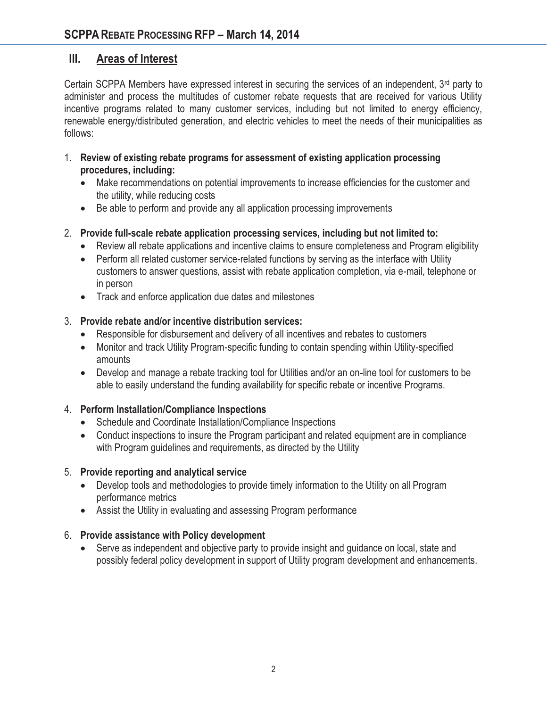#### **III. Areas of Interest**

Certain SCPPA Members have expressed interest in securing the services of an independent, 3rd party to administer and process the multitudes of customer rebate requests that are received for various Utility incentive programs related to many customer services, including but not limited to energy efficiency, renewable energy/distributed generation, and electric vehicles to meet the needs of their municipalities as follows:

- 1. **Review of existing rebate programs for assessment of existing application processing procedures, including:**
	- $\bullet$  Make recommendations on potential improvements to increase efficiencies for the customer and the utility, while reducing costs
	- $\bullet$ Be able to perform and provide any all application processing improvements
- 2. **Provide full-scale rebate application processing services, including but not limited to:**
	- Review all rebate applications and incentive claims to ensure completeness and Program eligibility
	- Perform all related customer service-related functions by serving as the interface with Utility customers to answer questions, assist with rebate application completion, via e-mail, telephone or in person
	- Track and enforce application due dates and milestones

#### 3. **Provide rebate and/or incentive distribution services:**

- Responsible for disbursement and delivery of all incentives and rebates to customers
- Monitor and track Utility Program-specific funding to contain spending within Utility-specified amounts
- Develop and manage a rebate tracking tool for Utilities and/or an on-line tool for customers to be able to easily understand the funding availability for specific rebate or incentive Programs.

#### 4. **Perform Installation/Compliance Inspections**

- Schedule and Coordinate Installation/Compliance Inspections
- Conduct inspections to insure the Program participant and related equipment are in compliance with Program guidelines and requirements, as directed by the Utility

#### 5. **Provide reporting and analytical service**

- Develop tools and methodologies to provide timely information to the Utility on all Program performance metrics
- Assist the Utility in evaluating and assessing Program performance

#### 6. **Provide assistance with Policy development**

• Serve as independent and objective party to provide insight and guidance on local, state and possibly federal policy development in support of Utility program development and enhancements.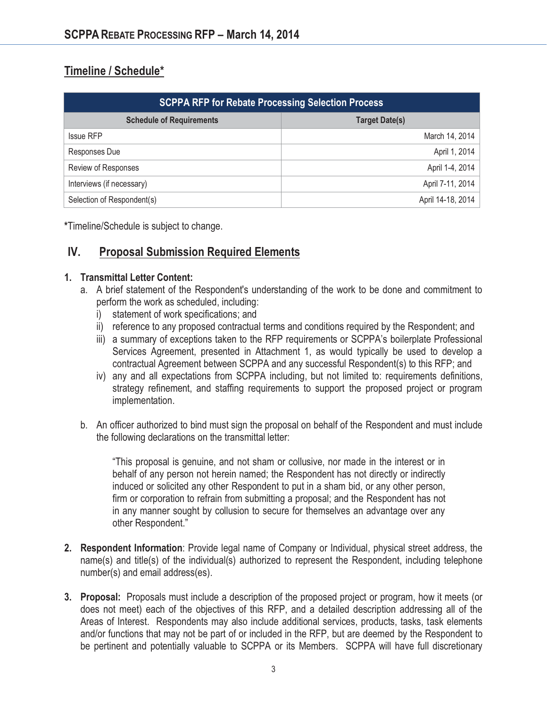## **Timeline / Schedule\***

| <b>SCPPA RFP for Rebate Processing Selection Process</b> |                       |  |
|----------------------------------------------------------|-----------------------|--|
| <b>Schedule of Requirements</b>                          | <b>Target Date(s)</b> |  |
| <b>Issue RFP</b>                                         | March 14, 2014        |  |
| Responses Due                                            | April 1, 2014         |  |
| <b>Review of Responses</b>                               | April 1-4, 2014       |  |
| Interviews (if necessary)                                | April 7-11, 2014      |  |
| Selection of Respondent(s)                               | April 14-18, 2014     |  |

**\***Timeline/Schedule is subject to change.

### **IV. Proposal Submission Required Elements**

#### **1. Transmittal Letter Content:**

- a. A brief statement of the Respondent's understanding of the work to be done and commitment to perform the work as scheduled, including:
	- i) statement of work specifications; and
	- ii) reference to any proposed contractual terms and conditions required by the Respondent; and
	- iii) a summary of exceptions taken to the RFP requirements or SCPPA's boilerplate Professional Services Agreement, presented in Attachment 1, as would typically be used to develop a contractual Agreement between SCPPA and any successful Respondent(s) to this RFP; and
	- iv) any and all expectations from SCPPA including, but not limited to: requirements definitions, strategy refinement, and staffing requirements to support the proposed project or program implementation.
- b. An officer authorized to bind must sign the proposal on behalf of the Respondent and must include the following declarations on the transmittal letter:

"This proposal is genuine, and not sham or collusive, nor made in the interest or in behalf of any person not herein named; the Respondent has not directly or indirectly induced or solicited any other Respondent to put in a sham bid, or any other person, firm or corporation to refrain from submitting a proposal; and the Respondent has not in any manner sought by collusion to secure for themselves an advantage over any other Respondent."

- **2. Respondent Information**: Provide legal name of Company or Individual, physical street address, the name(s) and title(s) of the individual(s) authorized to represent the Respondent, including telephone number(s) and email address(es).
- **3. Proposal:** Proposals must include a description of the proposed project or program, how it meets (or does not meet) each of the objectives of this RFP, and a detailed description addressing all of the Areas of Interest. Respondents may also include additional services, products, tasks, task elements and/or functions that may not be part of or included in the RFP, but are deemed by the Respondent to be pertinent and potentially valuable to SCPPA or its Members. SCPPA will have full discretionary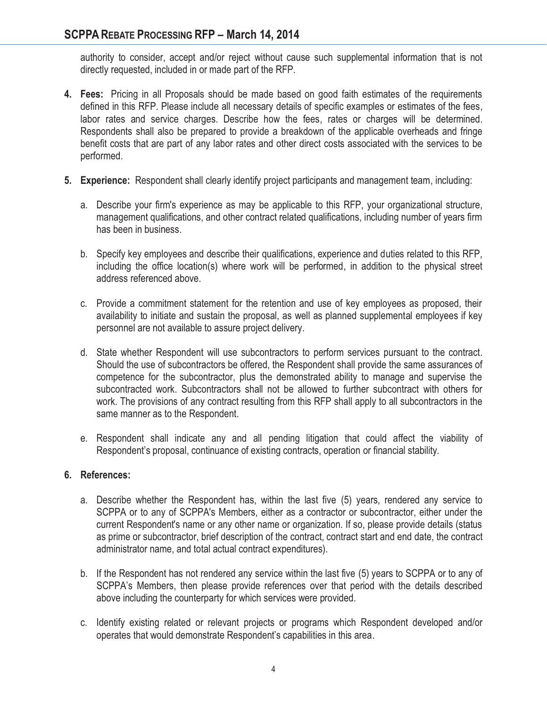authority to consider, accept and/or reject without cause such supplemental information that is not directly requested, included in or made part of the RFP.

- **4. Fees:** Pricing in all Proposals should be made based on good faith estimates of the requirements defined in this RFP. Please include all necessary details of specific examples or estimates of the fees, labor rates and service charges. Describe how the fees, rates or charges will be determined. Respondents shall also be prepared to provide a breakdown of the applicable overheads and fringe benefit costs that are part of any labor rates and other direct costs associated with the services to be performed.
- **5. Experience:** Respondent shall clearly identify project participants and management team, including:
	- a. Describe your firm's experience as may be applicable to this RFP, your organizational structure, management qualifications, and other contract related qualifications, including number of years firm has been in business.
	- b. Specify key employees and describe their qualifications, experience and duties related to this RFP, including the office location(s) where work will be performed, in addition to the physical street address referenced above.
	- c. Provide a commitment statement for the retention and use of key employees as proposed, their availability to initiate and sustain the proposal, as well as planned supplemental employees if key personnel are not available to assure project delivery.
	- d. State whether Respondent will use subcontractors to perform services pursuant to the contract. Should the use of subcontractors be offered, the Respondent shall provide the same assurances of competence for the subcontractor, plus the demonstrated ability to manage and supervise the subcontracted work. Subcontractors shall not be allowed to further subcontract with others for work. The provisions of any contract resulting from this RFP shall apply to all subcontractors in the same manner as to the Respondent.
	- e. Respondent shall indicate any and all pending litigation that could affect the viability of Respondent's proposal, continuance of existing contracts, operation or financial stability.

#### **6. References:**

- a. Describe whether the Respondent has, within the last five (5) years, rendered any service to SCPPA or to any of SCPPA's Members, either as a contractor or subcontractor, either under the current Respondent's name or any other name or organization. If so, please provide details (status as prime or subcontractor, brief description of the contract, contract start and end date, the contract administrator name, and total actual contract expenditures).
- b. If the Respondent has not rendered any service within the last five (5) years to SCPPA or to any of SCPPA's Members, then please provide references over that period with the details described above including the counterparty for which services were provided.
- c. Identify existing related or relevant projects or programs which Respondent developed and/or operates that would demonstrate Respondent's capabilities in this area.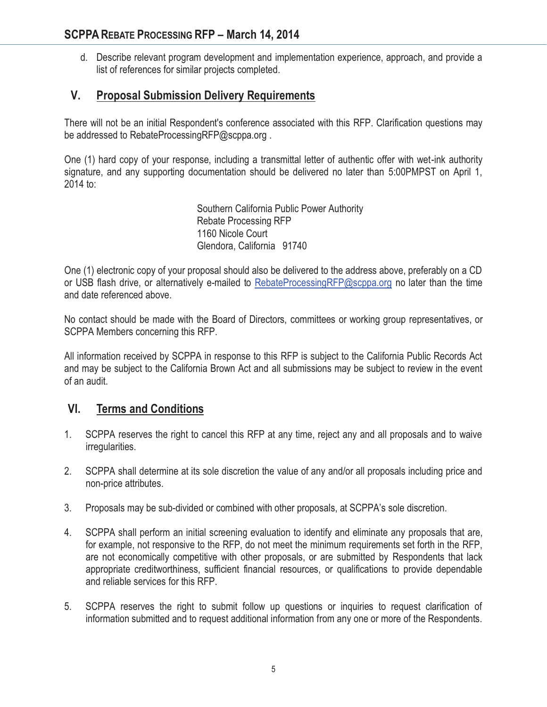d. Describe relevant program development and implementation experience, approach, and provide a list of references for similar projects completed.

## **V. Proposal Submission Delivery Requirements**

There will not be an initial Respondent's conference associated with this RFP. Clarification questions may be addressed to RebateProcessingRFP@scppa.org .

One (1) hard copy of your response, including a transmittal letter of authentic offer with wet-ink authority signature, and any supporting documentation should be delivered no later than 5:00PMPST on April 1, 2014 to:

> Southern California Public Power Authority Rebate Processing RFP 1160 Nicole Court Glendora, California 91740

One (1) electronic copy of your proposal should also be delivered to the address above, preferably on a CD or USB flash drive, or alternatively e-mailed to RebateProcessingRFP@scppa.org no later than the time and date referenced above.

No contact should be made with the Board of Directors, committees or working group representatives, or SCPPA Members concerning this RFP.

All information received by SCPPA in response to this RFP is subject to the California Public Records Act and may be subject to the California Brown Act and all submissions may be subject to review in the event of an audit.

### **VI. Terms and Conditions**

- 1. SCPPA reserves the right to cancel this RFP at any time, reject any and all proposals and to waive irregularities.
- 2. SCPPA shall determine at its sole discretion the value of any and/or all proposals including price and non-price attributes.
- 3. Proposals may be sub-divided or combined with other proposals, at SCPPA's sole discretion.
- 4. SCPPA shall perform an initial screening evaluation to identify and eliminate any proposals that are, for example, not responsive to the RFP, do not meet the minimum requirements set forth in the RFP, are not economically competitive with other proposals, or are submitted by Respondents that lack appropriate creditworthiness, sufficient financial resources, or qualifications to provide dependable and reliable services for this RFP.
- 5. SCPPA reserves the right to submit follow up questions or inquiries to request clarification of information submitted and to request additional information from any one or more of the Respondents.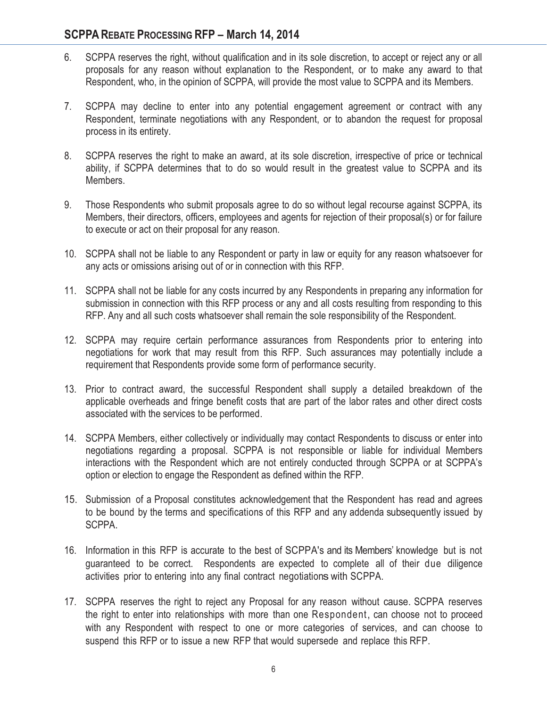#### **SCPPA REBATE PROCESSING RFP - March 14, 2014**

- 6. SCPPA reserves the right, without qualification and in its sole discretion, to accept or reject any or all proposals for any reason without explanation to the Respondent, or to make any award to that Respondent, who, in the opinion of SCPPA, will provide the most value to SCPPA and its Members.
- 7. SCPPA may decline to enter into any potential engagement agreement or contract with any Respondent, terminate negotiations with any Respondent, or to abandon the request for proposal process in its entirety.
- 8. SCPPA reserves the right to make an award, at its sole discretion, irrespective of price or technical ability, if SCPPA determines that to do so would result in the greatest value to SCPPA and its Members.
- 9. Those Respondents who submit proposals agree to do so without legal recourse against SCPPA, its Members, their directors, officers, employees and agents for rejection of their proposal(s) or for failure to execute or act on their proposal for any reason.
- 10. SCPPA shall not be liable to any Respondent or party in law or equity for any reason whatsoever for any acts or omissions arising out of or in connection with this RFP.
- 11. SCPPA shall not be liable for any costs incurred by any Respondents in preparing any information for submission in connection with this RFP process or any and all costs resulting from responding to this RFP. Any and all such costs whatsoever shall remain the sole responsibility of the Respondent.
- 12. SCPPA may require certain performance assurances from Respondents prior to entering into negotiations for work that may result from this RFP. Such assurances may potentially include a requirement that Respondents provide some form of performance security.
- 13. Prior to contract award, the successful Respondent shall supply a detailed breakdown of the applicable overheads and fringe benefit costs that are part of the labor rates and other direct costs associated with the services to be performed.
- 14. SCPPA Members, either collectively or individually may contact Respondents to discuss or enter into negotiations regarding a proposal. SCPPA is not responsible or liable for individual Members interactions with the Respondent which are not entirely conducted through SCPPA or at SCPPA's option or election to engage the Respondent as defined within the RFP.
- 15. Submission of a Proposal constitutes acknowledgement that the Respondent has read and agrees to be bound by the terms and specifications of this RFP and any addenda subsequently issued by SCPPA.
- 16. Information in this RFP is accurate to the best of SCPPA's and its Members' knowledge but is not guaranteed to be correct. Respondents are expected to complete all of their due diligence activities prior to entering into any final contract negotiations with SCPPA.
- 17. SCPPA reserves the right to reject any Proposal for any reason without cause. SCPPA reserves the right to enter into relationships with more than one Respondent, can choose not to proceed with any Respondent with respect to one or more categories of services, and can choose to suspend this RFP or to issue a new RFP that would supersede and replace this RFP.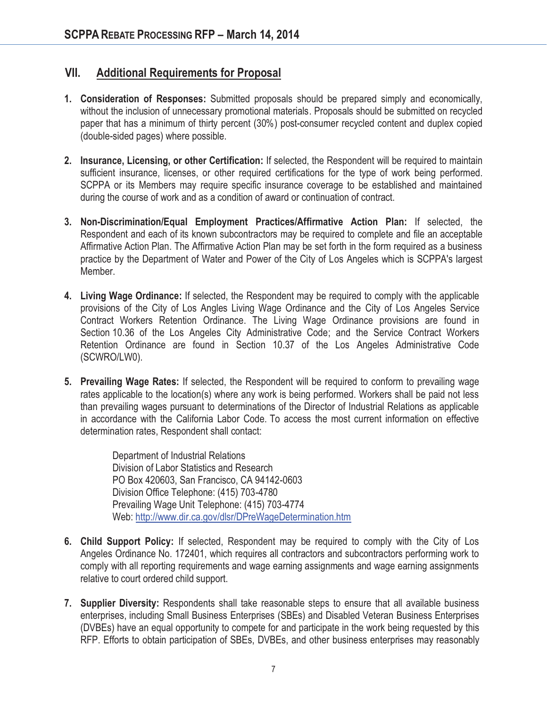### **VII. Additional Requirements for Proposal**

- **1. Consideration of Responses:** Submitted proposals should be prepared simply and economically, without the inclusion of unnecessary promotional materials. Proposals should be submitted on recycled paper that has a minimum of thirty percent (30%) post-consumer recycled content and duplex copied (double-sided pages) where possible.
- **2. Insurance, Licensing, or other Certification:** If selected, the Respondent will be required to maintain sufficient insurance, licenses, or other required certifications for the type of work being performed. SCPPA or its Members may require specific insurance coverage to be established and maintained during the course of work and as a condition of award or continuation of contract.
- **3. Non-Discrimination/Equal Employment Practices/Affirmative Action Plan:** If selected, the Respondent and each of its known subcontractors may be required to complete and file an acceptable Affirmative Action Plan. The Affirmative Action Plan may be set forth in the form required as a business practice by the Department of Water and Power of the City of Los Angeles which is SCPPA's largest Member.
- **4. Living Wage Ordinance:** If selected, the Respondent may be required to comply with the applicable provisions of the City of Los Angles Living Wage Ordinance and the City of Los Angeles Service Contract Workers Retention Ordinance. The Living Wage Ordinance provisions are found in Section 10.36 of the Los Angeles City Administrative Code; and the Service Contract Workers Retention Ordinance are found in Section 10.37 of the Los Angeles Administrative Code (SCWRO/LW0).
- **5. Prevailing Wage Rates:** If selected, the Respondent will be required to conform to prevailing wage rates applicable to the location(s) where any work is being performed. Workers shall be paid not less than prevailing wages pursuant to determinations of the Director of Industrial Relations as applicable in accordance with the California Labor Code. To access the most current information on effective determination rates, Respondent shall contact:

Department of Industrial Relations Division of Labor Statistics and Research PO Box 420603, San Francisco, CA 94142-0603 Division Office Telephone: (415) 703-4780 Prevailing Wage Unit Telephone: (415) 703-4774 Web: http://www.dir.ca.gov/dlsr/DPreWageDetermination.htm

- **6. Child Support Policy:** If selected, Respondent may be required to comply with the City of Los Angeles Ordinance No. 172401, which requires all contractors and subcontractors performing work to comply with all reporting requirements and wage earning assignments and wage earning assignments relative to court ordered child support.
- **7. Supplier Diversity:** Respondents shall take reasonable steps to ensure that all available business enterprises, including Small Business Enterprises (SBEs) and Disabled Veteran Business Enterprises (DVBEs) have an equal opportunity to compete for and participate in the work being requested by this RFP. Efforts to obtain participation of SBEs, DVBEs, and other business enterprises may reasonably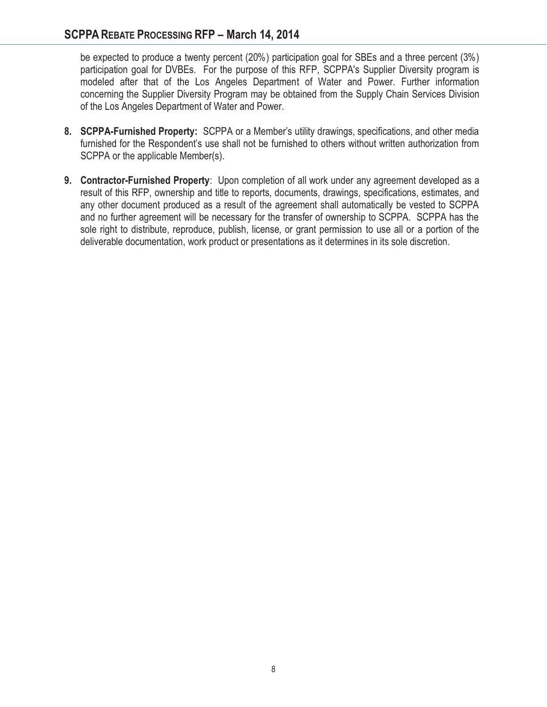#### **SCPPA REBATE PROCESSING RFP - March 14, 2014**

be expected to produce a twenty percent (20%) participation goal for SBEs and a three percent (3%) participation goal for DVBEs. For the purpose of this RFP, SCPPA's Supplier Diversity program is modeled after that of the Los Angeles Department of Water and Power. Further information concerning the Supplier Diversity Program may be obtained from the Supply Chain Services Division of the Los Angeles Department of Water and Power.

- **8. SCPPA-Furnished Property:** SCPPA or a Member's utility drawings, specifications, and other media furnished for the Respondent's use shall not be furnished to others without written authorization from SCPPA or the applicable Member(s).
- **9. Contractor-Furnished Property**: Upon completion of all work under any agreement developed as a result of this RFP, ownership and title to reports, documents, drawings, specifications, estimates, and any other document produced as a result of the agreement shall automatically be vested to SCPPA and no further agreement will be necessary for the transfer of ownership to SCPPA. SCPPA has the sole right to distribute, reproduce, publish, license, or grant permission to use all or a portion of the deliverable documentation, work product or presentations as it determines in its sole discretion.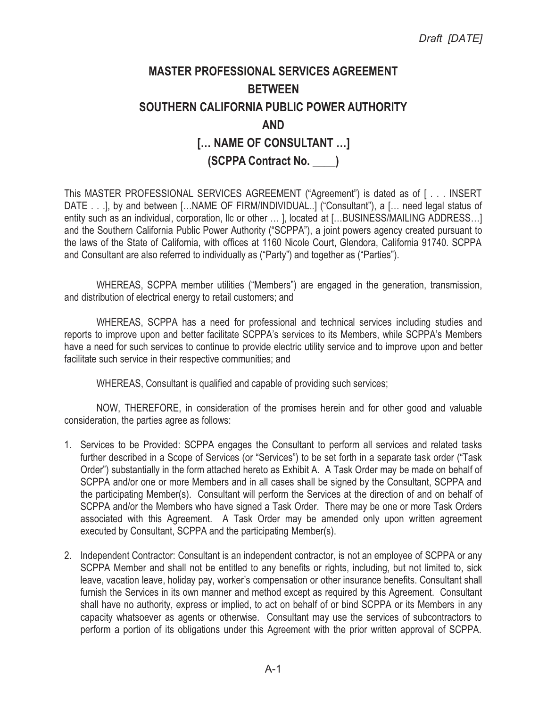## **MASTER PROFESSIONAL SERVICES AGREEMENT BETWEEN SOUTHERN CALIFORNIA PUBLIC POWER AUTHORITY AND [… NAME OF CONSULTANT …] (SCPPA Contract No. \_\_\_\_)**

This MASTER PROFESSIONAL SERVICES AGREEMENT ("Agreement") is dated as of [ . . . INSERT DATE . . .], by and between [...NAME OF FIRM/INDIVIDUAL..] ("Consultant"), a [... need legal status of entity such as an individual, corporation, llc or other ... ], located at [...BUSINESS/MAILING ADDRESS...] and the Southern California Public Power Authority ("SCPPA"), a joint powers agency created pursuant to the laws of the State of California, with offices at 1160 Nicole Court, Glendora, California 91740. SCPPA and Consultant are also referred to individually as ("Party") and together as ("Parties").

WHEREAS, SCPPA member utilities ("Members") are engaged in the generation, transmission, and distribution of electrical energy to retail customers; and

WHEREAS, SCPPA has a need for professional and technical services including studies and reports to improve upon and better facilitate SCPPA's services to its Members, while SCPPA's Members have a need for such services to continue to provide electric utility service and to improve upon and better facilitate such service in their respective communities; and

WHEREAS, Consultant is qualified and capable of providing such services;

NOW, THEREFORE, in consideration of the promises herein and for other good and valuable consideration, the parties agree as follows:

- 1. Services to be Provided: SCPPA engages the Consultant to perform all services and related tasks further described in a Scope of Services (or "Services") to be set forth in a separate task order ("Task Order") substantially in the form attached hereto as Exhibit A. A Task Order may be made on behalf of SCPPA and/or one or more Members and in all cases shall be signed by the Consultant, SCPPA and the participating Member(s). Consultant will perform the Services at the direction of and on behalf of SCPPA and/or the Members who have signed a Task Order. There may be one or more Task Orders associated with this Agreement. A Task Order may be amended only upon written agreement executed by Consultant, SCPPA and the participating Member(s).
- 2. Independent Contractor: Consultant is an independent contractor, is not an employee of SCPPA or any SCPPA Member and shall not be entitled to any benefits or rights, including, but not limited to, sick leave, vacation leave, holiday pay, worker's compensation or other insurance benefits. Consultant shall furnish the Services in its own manner and method except as required by this Agreement. Consultant shall have no authority, express or implied, to act on behalf of or bind SCPPA or its Members in any capacity whatsoever as agents or otherwise. Consultant may use the services of subcontractors to perform a portion of its obligations under this Agreement with the prior written approval of SCPPA.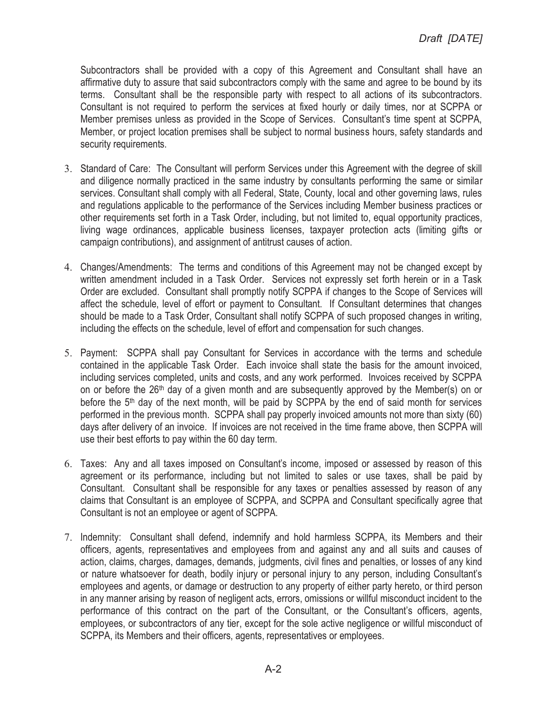Subcontractors shall be provided with a copy of this Agreement and Consultant shall have an affirmative duty to assure that said subcontractors comply with the same and agree to be bound by its terms. Consultant shall be the responsible party with respect to all actions of its subcontractors. Consultant is not required to perform the services at fixed hourly or daily times, nor at SCPPA or Member premises unless as provided in the Scope of Services. Consultant's time spent at SCPPA, Member, or project location premises shall be subject to normal business hours, safety standards and security requirements.

- 3. Standard of Care: The Consultant will perform Services under this Agreement with the degree of skill and diligence normally practiced in the same industry by consultants performing the same or similar services. Consultant shall comply with all Federal, State, County, local and other governing laws, rules and regulations applicable to the performance of the Services including Member business practices or other requirements set forth in a Task Order, including, but not limited to, equal opportunity practices, living wage ordinances, applicable business licenses, taxpayer protection acts (limiting gifts or campaign contributions), and assignment of antitrust causes of action.
- 4. Changes/Amendments: The terms and conditions of this Agreement may not be changed except by written amendment included in a Task Order. Services not expressly set forth herein or in a Task Order are excluded. Consultant shall promptly notify SCPPA if changes to the Scope of Services will affect the schedule, level of effort or payment to Consultant. If Consultant determines that changes should be made to a Task Order, Consultant shall notify SCPPA of such proposed changes in writing, including the effects on the schedule, level of effort and compensation for such changes.
- 5. Payment: SCPPA shall pay Consultant for Services in accordance with the terms and schedule contained in the applicable Task Order. Each invoice shall state the basis for the amount invoiced, including services completed, units and costs, and any work performed. Invoices received by SCPPA on or before the 26<sup>th</sup> day of a given month and are subsequently approved by the Member(s) on or before the 5<sup>th</sup> day of the next month, will be paid by SCPPA by the end of said month for services performed in the previous month. SCPPA shall pay properly invoiced amounts not more than sixty (60) days after delivery of an invoice. If invoices are not received in the time frame above, then SCPPA will use their best efforts to pay within the 60 day term.
- 6. Taxes: Any and all taxes imposed on Consultant's income, imposed or assessed by reason of this agreement or its performance, including but not limited to sales or use taxes, shall be paid by Consultant. Consultant shall be responsible for any taxes or penalties assessed by reason of any claims that Consultant is an employee of SCPPA, and SCPPA and Consultant specifically agree that Consultant is not an employee or agent of SCPPA.
- 7. Indemnity: Consultant shall defend, indemnify and hold harmless SCPPA, its Members and their officers, agents, representatives and employees from and against any and all suits and causes of action, claims, charges, damages, demands, judgments, civil fines and penalties, or losses of any kind or nature whatsoever for death, bodily injury or personal injury to any person, including Consultant's employees and agents, or damage or destruction to any property of either party hereto, or third person in any manner arising by reason of negligent acts, errors, omissions or willful misconduct incident to the performance of this contract on the part of the Consultant, or the Consultant's officers, agents, employees, or subcontractors of any tier, except for the sole active negligence or willful misconduct of SCPPA, its Members and their officers, agents, representatives or employees.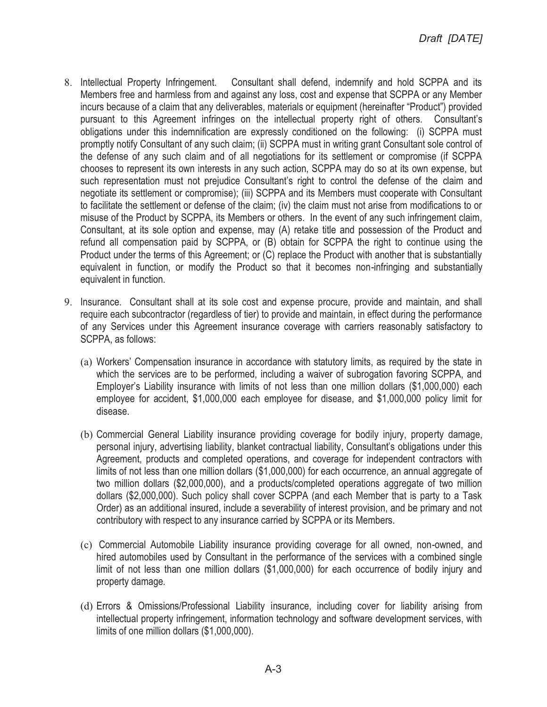- 8. Intellectual Property Infringement. Consultant shall defend, indemnify and hold SCPPA and its Members free and harmless from and against any loss, cost and expense that SCPPA or any Member incurs because of a claim that any deliverables, materials or equipment (hereinafter "Product") provided pursuant to this Agreement infringes on the intellectual property right of others. Consultant's obligations under this indemnification are expressly conditioned on the following: (i) SCPPA must promptly notify Consultant of any such claim; (ii) SCPPA must in writing grant Consultant sole control of the defense of any such claim and of all negotiations for its settlement or compromise (if SCPPA chooses to represent its own interests in any such action, SCPPA may do so at its own expense, but such representation must not prejudice Consultant's right to control the defense of the claim and negotiate its settlement or compromise); (iii) SCPPA and its Members must cooperate with Consultant to facilitate the settlement or defense of the claim; (iv) the claim must not arise from modifications to or misuse of the Product by SCPPA, its Members or others. In the event of any such infringement claim, Consultant, at its sole option and expense, may (A) retake title and possession of the Product and refund all compensation paid by SCPPA, or (B) obtain for SCPPA the right to continue using the Product under the terms of this Agreement; or (C) replace the Product with another that is substantially equivalent in function, or modify the Product so that it becomes non-infringing and substantially equivalent in function.
- 9. Insurance. Consultant shall at its sole cost and expense procure, provide and maintain, and shall require each subcontractor (regardless of tier) to provide and maintain, in effect during the performance of any Services under this Agreement insurance coverage with carriers reasonably satisfactory to SCPPA, as follows:
	- (a) Workers' Compensation insurance in accordance with statutory limits, as required by the state in which the services are to be performed, including a waiver of subrogation favoring SCPPA, and Employer's Liability insurance with limits of not less than one million dollars (\$1,000,000) each employee for accident, \$1,000,000 each employee for disease, and \$1,000,000 policy limit for disease.
	- (b) Commercial General Liability insurance providing coverage for bodily injury, property damage, personal injury, advertising liability, blanket contractual liability, Consultant's obligations under this Agreement, products and completed operations, and coverage for independent contractors with limits of not less than one million dollars (\$1,000,000) for each occurrence, an annual aggregate of two million dollars (\$2,000,000), and a products/completed operations aggregate of two million dollars (\$2,000,000). Such policy shall cover SCPPA (and each Member that is party to a Task Order) as an additional insured, include a severability of interest provision, and be primary and not contributory with respect to any insurance carried by SCPPA or its Members.
	- (c) Commercial Automobile Liability insurance providing coverage for all owned, non-owned, and hired automobiles used by Consultant in the performance of the services with a combined single limit of not less than one million dollars (\$1,000,000) for each occurrence of bodily injury and property damage.
	- (d) Errors & Omissions/Professional Liability insurance, including cover for liability arising from intellectual property infringement, information technology and software development services, with limits of one million dollars (\$1,000,000).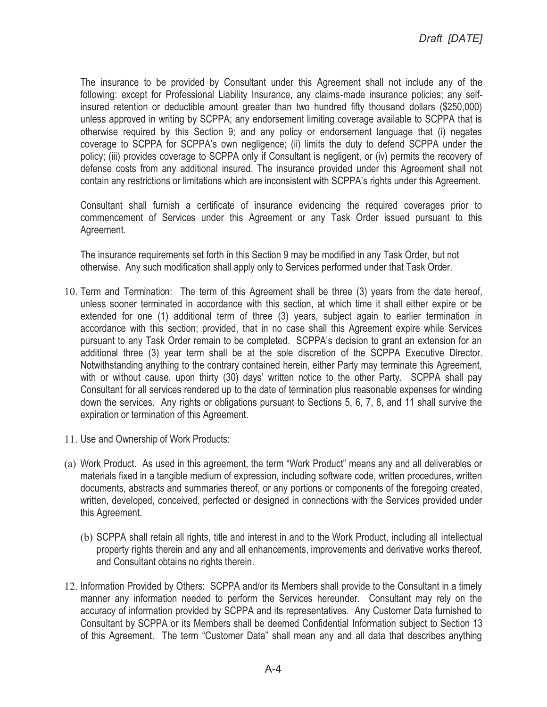The insurance to be provided by Consultant under this Agreement shall not include any of the following: except for Professional Liability Insurance, any claims-made insurance policies; any selfinsured retention or deductible amount greater than two hundred fifty thousand dollars (\$250,000) unless approved in writing by SCPPA; any endorsement limiting coverage available to SCPPA that is otherwise required by this Section 9; and any policy or endorsement language that (i) negates coverage to SCPPA for SCPPA's own negligence; (ii) limits the duty to defend SCPPA under the policy; (iii) provides coverage to SCPPA only if Consultant is negligent, or (iv) permits the recovery of defense costs from any additional insured. The insurance provided under this Agreement shall not contain any restrictions or limitations which are inconsistent with SCPPA's rights under this Agreement.

Consultant shall furnish a certificate of insurance evidencing the required coverages prior to commencement of Services under this Agreement or any Task Order issued pursuant to this Agreement.

The insurance requirements set forth in this Section 9 may be modified in any Task Order, but not otherwise. Any such modification shall apply only to Services performed under that Task Order.

- 10. Term and Termination: The term of this Agreement shall be three (3) years from the date hereof, unless sooner terminated in accordance with this section, at which time it shall either expire or be extended for one (1) additional term of three (3) years, subject again to earlier termination in accordance with this section; provided, that in no case shall this Agreement expire while Services pursuant to any Task Order remain to be completed. SCPPA's decision to grant an extension for an additional three (3) year term shall be at the sole discretion of the SCPPA Executive Director. Notwithstanding anything to the contrary contained herein, either Party may terminate this Agreement, with or without cause, upon thirty (30) days' written notice to the other Party. SCPPA shall pay Consultant for all services rendered up to the date of termination plus reasonable expenses for winding down the services. Any rights or obligations pursuant to Sections 5, 6, 7, 8, and 11 shall survive the expiration or termination of this Agreement.
- 11. Use and Ownership of Work Products:
- (a) Work Product. As used in this agreement, the term "Work Product" means any and all deliverables or materials fixed in a tangible medium of expression, including software code, written procedures, written documents, abstracts and summaries thereof, or any portions or components of the foregoing created, written, developed, conceived, perfected or designed in connections with the Services provided under this Agreement.
	- (b) SCPPA shall retain all rights, title and interest in and to the Work Product, including all intellectual property rights therein and any and all enhancements, improvements and derivative works thereof, and Consultant obtains no rights therein.
- 12. Information Provided by Others: SCPPA and/or its Members shall provide to the Consultant in a timely manner any information needed to perform the Services hereunder. Consultant may rely on the accuracy of information provided by SCPPA and its representatives. Any Customer Data furnished to Consultant by SCPPA or its Members shall be deemed Confidential Information subject to Section 13 of this Agreement. The term "Customer Data" shall mean any and all data that describes anything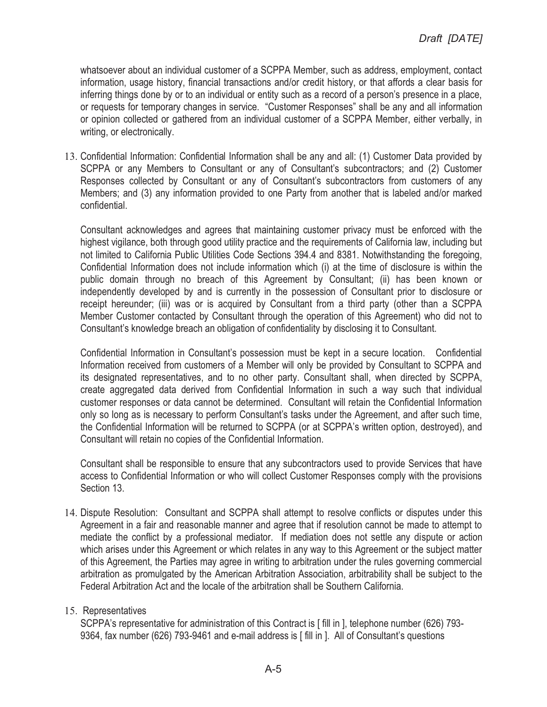whatsoever about an individual customer of a SCPPA Member, such as address, employment, contact information, usage history, financial transactions and/or credit history, or that affords a clear basis for inferring things done by or to an individual or entity such as a record of a person's presence in a place, or requests for temporary changes in service. "Customer Responses" shall be any and all information or opinion collected or gathered from an individual customer of a SCPPA Member, either verbally, in writing, or electronically.

13. Confidential Information: Confidential Information shall be any and all: (1) Customer Data provided by SCPPA or any Members to Consultant or any of Consultant's subcontractors; and (2) Customer Responses collected by Consultant or any of Consultant's subcontractors from customers of any Members; and (3) any information provided to one Party from another that is labeled and/or marked confidential.

Consultant acknowledges and agrees that maintaining customer privacy must be enforced with the highest vigilance, both through good utility practice and the requirements of California law, including but not limited to California Public Utilities Code Sections 394.4 and 8381. Notwithstanding the foregoing, Confidential Information does not include information which (i) at the time of disclosure is within the public domain through no breach of this Agreement by Consultant; (ii) has been known or independently developed by and is currently in the possession of Consultant prior to disclosure or receipt hereunder; (iii) was or is acquired by Consultant from a third party (other than a SCPPA Member Customer contacted by Consultant through the operation of this Agreement) who did not to Consultant's knowledge breach an obligation of confidentiality by disclosing it to Consultant.

Confidential Information in Consultant's possession must be kept in a secure location. Confidential Information received from customers of a Member will only be provided by Consultant to SCPPA and its designated representatives, and to no other party. Consultant shall, when directed by SCPPA, create aggregated data derived from Confidential Information in such a way such that individual customer responses or data cannot be determined. Consultant will retain the Confidential Information only so long as is necessary to perform Consultant's tasks under the Agreement, and after such time, the Confidential Information will be returned to SCPPA (or at SCPPA's written option, destroyed), and Consultant will retain no copies of the Confidential Information.

Consultant shall be responsible to ensure that any subcontractors used to provide Services that have access to Confidential Information or who will collect Customer Responses comply with the provisions Section 13.

14. Dispute Resolution: Consultant and SCPPA shall attempt to resolve conflicts or disputes under this Agreement in a fair and reasonable manner and agree that if resolution cannot be made to attempt to mediate the conflict by a professional mediator. If mediation does not settle any dispute or action which arises under this Agreement or which relates in any way to this Agreement or the subject matter of this Agreement, the Parties may agree in writing to arbitration under the rules governing commercial arbitration as promulgated by the American Arbitration Association, arbitrability shall be subject to the Federal Arbitration Act and the locale of the arbitration shall be Southern California.

#### 15. Representatives

SCPPA's representative for administration of this Contract is [ fill in ], telephone number (626) 793- 9364, fax number (626) 793-9461 and e-mail address is [ fill in ]. All of Consultant's questions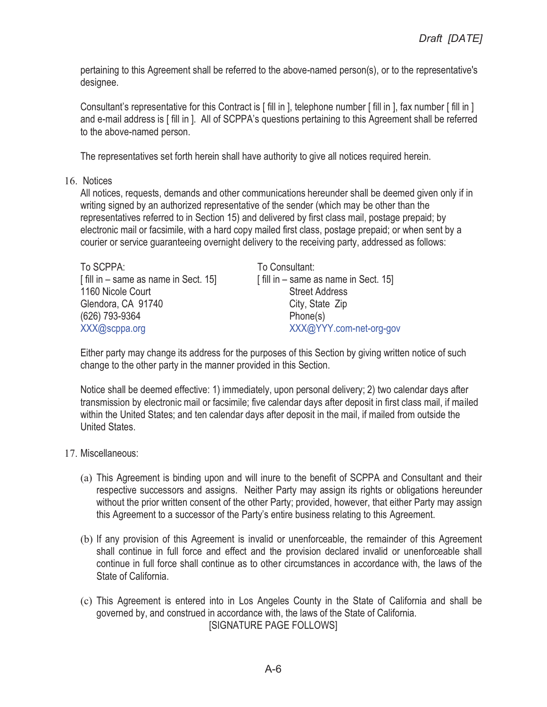pertaining to this Agreement shall be referred to the above-named person(s), or to the representative's designee.

Consultant's representative for this Contract is [ fill in ], telephone number [ fill in ], fax number [ fill in ] and e-mail address is [ fill in ]. All of SCPPA's questions pertaining to this Agreement shall be referred to the above-named person.

The representatives set forth herein shall have authority to give all notices required herein.

16. Notices

All notices, requests, demands and other communications hereunder shall be deemed given only if in writing signed by an authorized representative of the sender (which may be other than the representatives referred to in Section 15) and delivered by first class mail, postage prepaid; by electronic mail or facsimile, with a hard copy mailed first class, postage prepaid; or when sent by a courier or service guaranteeing overnight delivery to the receiving party, addressed as follows:

| To SCPPA:                            | To Consultant:          |
|--------------------------------------|-------------------------|
| [fill in – same as name in Sect. 15] | $\int$ fill in - same a |
| 1160 Nicole Court                    | Street                  |
| Glendora, CA 91740                   | City, St                |
| (626) 793-9364                       | Phone                   |
| XXX@scppa.org                        | XXX@                    |

same as name in Sect. 15] **Street Address** City, State Zip  $Phone(s)$ XXX@YYY.com-net-org-gov

Either party may change its address for the purposes of this Section by giving written notice of such change to the other party in the manner provided in this Section.

Notice shall be deemed effective: 1) immediately, upon personal delivery; 2) two calendar days after transmission by electronic mail or facsimile; five calendar days after deposit in first class mail, if mailed within the United States; and ten calendar days after deposit in the mail, if mailed from outside the United States.

- 17. Miscellaneous:
	- (a) This Agreement is binding upon and will inure to the benefit of SCPPA and Consultant and their respective successors and assigns. Neither Party may assign its rights or obligations hereunder without the prior written consent of the other Party; provided, however, that either Party may assign this Agreement to a successor of the Party's entire business relating to this Agreement.
	- (b) If any provision of this Agreement is invalid or unenforceable, the remainder of this Agreement shall continue in full force and effect and the provision declared invalid or unenforceable shall continue in full force shall continue as to other circumstances in accordance with, the laws of the State of California.
	- (c) This Agreement is entered into in Los Angeles County in the State of California and shall be governed by, and construed in accordance with, the laws of the State of California. [SIGNATURE PAGE FOLLOWS]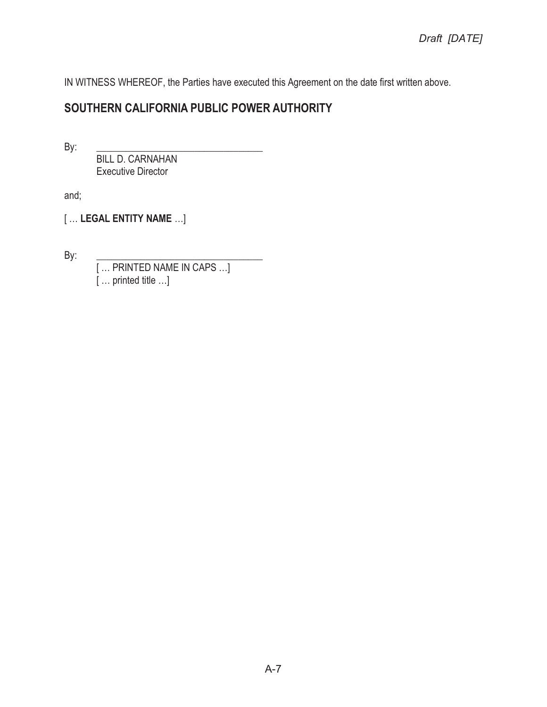IN WITNESS WHEREOF, the Parties have executed this Agreement on the date first written above.

## **SOUTHERN CALIFORNIA PUBLIC POWER AUTHORITY**

By: \_\_\_\_\_\_\_\_\_\_\_\_\_\_\_\_\_\_\_\_\_\_\_\_\_\_\_\_\_\_\_\_\_\_

 BILL D. CARNAHAN Executive Director

and;

[ … **LEGAL ENTITY NAME** …]

By: \_\_\_\_\_\_\_\_\_\_\_\_\_\_\_\_\_\_\_\_\_\_\_\_\_\_\_\_\_\_\_\_\_\_

[ … PRINTED NAME IN CAPS …] [ … printed title …]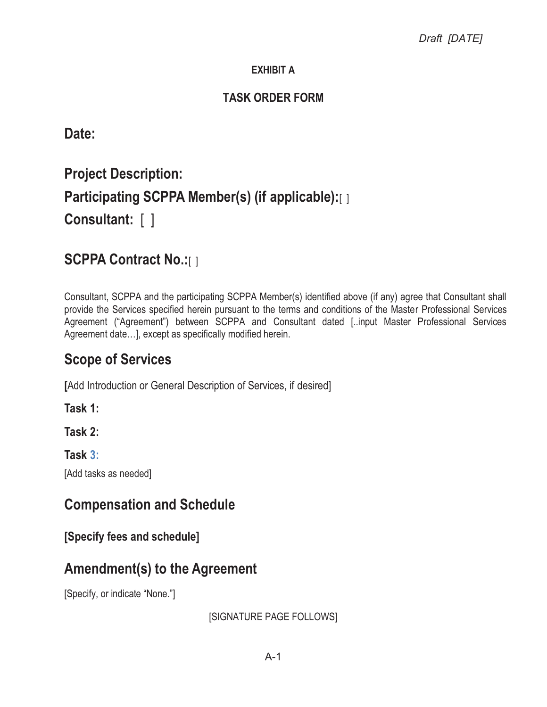## **EXHIBIT A**

## **TASK ORDER FORM**

**Date:**

# **Project Description: Participating SCPPA Member(s) (if applicable):**[ ] **Consultant:** [ ]

## **SCPPA Contract No.:**[ ]

Consultant, SCPPA and the participating SCPPA Member(s) identified above (if any) agree that Consultant shall provide the Services specified herein pursuant to the terms and conditions of the Master Professional Services Agreement ("Agreement") between SCPPA and Consultant dated [..input Master Professional Services Agreement date…], except as specifically modified herein.

## **Scope of Services**

**[**Add Introduction or General Description of Services, if desired]

**Task 1:** 

**Task 2:** 

**Task 3:** 

[Add tasks as needed]

## **Compensation and Schedule**

**[Specify fees and schedule]**

## **Amendment(s) to the Agreement**

[Specify, or indicate "None."]

[SIGNATURE PAGE FOLLOWS]